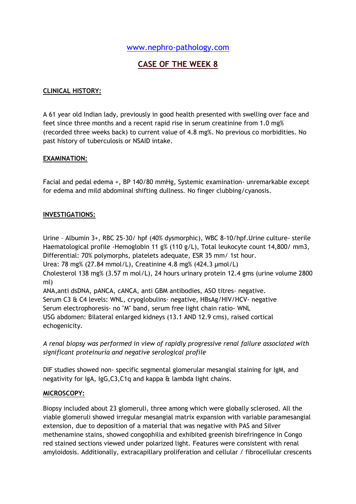## [www.nephro-pathology.com](http://www.nephro-pathology.com/)

# **CASE OF THE WEEK 8**

## **CLINICAL HISTORY:**

A 61 year old Indian lady, previously in good health presented with swelling over face and feet since three months and a recent rapid rise in serum creatinine from 1.0 mg% (recorded three weeks back) to current value of 4.8 mg%. No previous co morbidities. No past history of tuberculosis or NSAID intake.

## **EXAMINATION:**

Facial and pedal edema +, BP 140/80 mmHg, Systemic examination- unremarkable except for edema and mild abdominal shifting dullness. No finger clubbing/cyanosis.

## **INVESTIGATIONS:**

Urine – Albumin 3+, RBC 25-30/ hpf (40% dysmorphic), WBC 8-10/hpf.Urine culture- sterile Haematological profile -Hemoglobin 11 g% (110 g/L), Total leukocyte count 14,800/ mm3, Differential: 70% polymorphs, platelets adequate, ESR 35 mm/ 1st hour.

Urea: 78 mg% (27.84 mmol/L), Creatinine 4.8 mg% (424.3 µmol/L)

Cholesterol 138 mg% (3.57 m mol/L), 24 hours urinary protein 12.4 gms (urine volume 2800 ml)

ANA,anti dsDNA, pANCA, cANCA, anti GBM antibodies, ASO titres- negative. Serum C3 & C4 levels: WNL, cryoglobulins- negative, HBsAg/HIV/HCV- negative Serum electrophoresis- no "M" band, serum free light chain ratio- WNL USG abdomen: Bilateral enlarged kidneys (13.1 AND 12.9 cms), raised cortical echogenicity.

*A renal biopsy was performed in view of rapidly progressive renal failure associated with significant proteinuria and negative serological profile* 

DIF studies showed non- specific segmental glomerular mesangial staining for IgM, and negativity for IgA, IgG,C3,C1q and kappa & lambda light chains.

## **MICROSCOPY:**

Biopsy included about 23 glomeruli, three among which were globally sclerosed. All the viable glomeruli showed irregular mesangial matrix expansion with variable paramesangial extension, due to deposition of a material that was negative with PAS and Silver methenamine stains, showed congophilia and exhibited greenish birefringence in Congo red stained sections viewed under polarized light. Features were consistent with renal amyloidosis. Additionally, extracapillary proliferation and cellular / fibrocellular crescents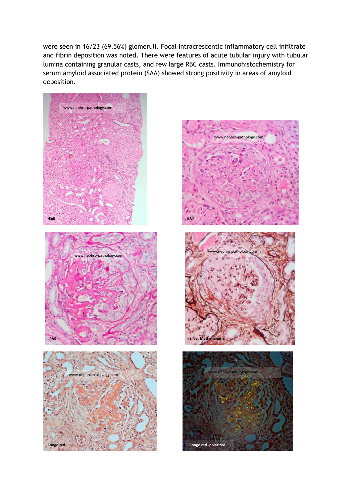were seen in 16/23 (69.56%) glomeruli. Focal intracrescentic inflammatory cell infiltrate and fibrin deposition was noted. There were features of acute tubular injury with tubular lumina containing granular casts, and few large RBC casts. Immunohistochemistry for serum amyloid associated protein (SAA) showed strong positivity in areas of amyloid deposition.



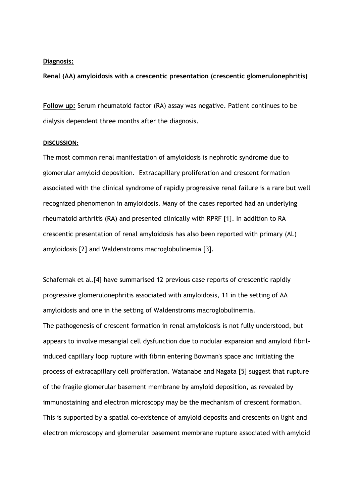#### **Diagnosis:**

**Renal (AA) amyloidosis with a crescentic presentation (crescentic glomerulonephritis)**

**Follow up:** Serum rheumatoid factor (RA) assay was negative. Patient continues to be dialysis dependent three months after the diagnosis.

#### **DISCUSSION:**

The most common renal manifestation of amyloidosis is nephrotic syndrome due to glomerular amyloid deposition. Extracapillary proliferation and crescent formation associated with the clinical syndrome of rapidly progressive renal failure is a rare but well recognized phenomenon in amyloidosis. Many of the cases reported had an underlying rheumatoid arthritis (RA) and presented clinically with RPRF [1]. In addition to RA crescentic presentation of renal amyloidosis has also been reported with primary (AL) amyloidosis [2] and Waldenstroms macroglobulinemia [3].

Schafernak et al.[4] have summarised 12 previous case reports of crescentic rapidly progressive glomerulonephritis associated with amyloidosis, 11 in the setting of AA amyloidosis and one in the setting of Waldenstroms macroglobulinemia. The pathogenesis of crescent formation in renal amyloidosis is not fully understood, but appears to involve mesangial cell dysfunction due to nodular expansion and amyloid fibrilinduced capillary loop rupture with fibrin entering Bowman's space and initiating the process of extracapillary cell proliferation. Watanabe and Nagata [5] suggest that rupture of the fragile glomerular basement membrane by amyloid deposition, as revealed by immunostaining and electron microscopy may be the mechanism of crescent formation. This is supported by a spatial co-existence of amyloid deposits and crescents on light and electron microscopy and glomerular basement membrane rupture associated with amyloid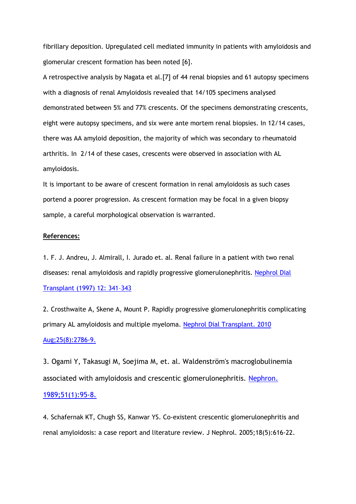fibrillary deposition. Upregulated cell mediated immunity in patients with amyloidosis and glomerular crescent formation has been noted [6].

A retrospective analysis by Nagata et al.[7] of 44 renal biopsies and 61 autopsy specimens with a diagnosis of renal Amyloidosis revealed that 14/105 specimens analysed demonstrated between 5% and 77% crescents. Of the specimens demonstrating crescents, eight were autopsy specimens, and six were ante mortem renal biopsies. In 12/14 cases, there was AA amyloid deposition, the majority of which was secondary to rheumatoid arthritis. In 2/14 of these cases, crescents were observed in association with AL amyloidosis.

It is important to be aware of crescent formation in renal amyloidosis as such cases portend a poorer progression. As crescent formation may be focal in a given biopsy sample, a careful morphological observation is warranted.

#### **References:**

1. F. J. Andreu, J. Almirall, I. Jurado et. al. Renal failure in a patient with two renal diseases: renal amyloidosis and rapidly progressive glomerulonephritis. [Nephrol Dial](http://ndt.oxfordjournals.org/content/12/2/341.full.pdf)  [Transplant \(1997\) 12: 341](http://ndt.oxfordjournals.org/content/12/2/341.full.pdf)–343

2. Crosthwaite A, Skene A, Mount P. Rapidly progressive glomerulonephritis complicating primary AL amyloidosis and multiple myeloma. [Nephrol Dial Transplant. 2010](http://ndt.oxfordjournals.org/content/early/2009/12/29/ndt.gfp715.full.pdf)  [Aug;25\(8\):2786-9.](http://ndt.oxfordjournals.org/content/early/2009/12/29/ndt.gfp715.full.pdf)

3. Ogami Y, Takasugi M, Soejima M, et. al. Waldenström's macroglobulinemia associated with amyloidosis and crescentic glomerulonephritis. [Nephron.](http://www.ncbi.nlm.nih.gov/pubmed/2492644)  [1989;51\(1\):95-8.](http://www.ncbi.nlm.nih.gov/pubmed/2492644)

4. Schafernak KT, Chugh SS, Kanwar YS. Co-existent crescentic glomerulonephritis and renal amyloidosis: a case report and literature review. J Nephrol. 2005;18(5):616-22.